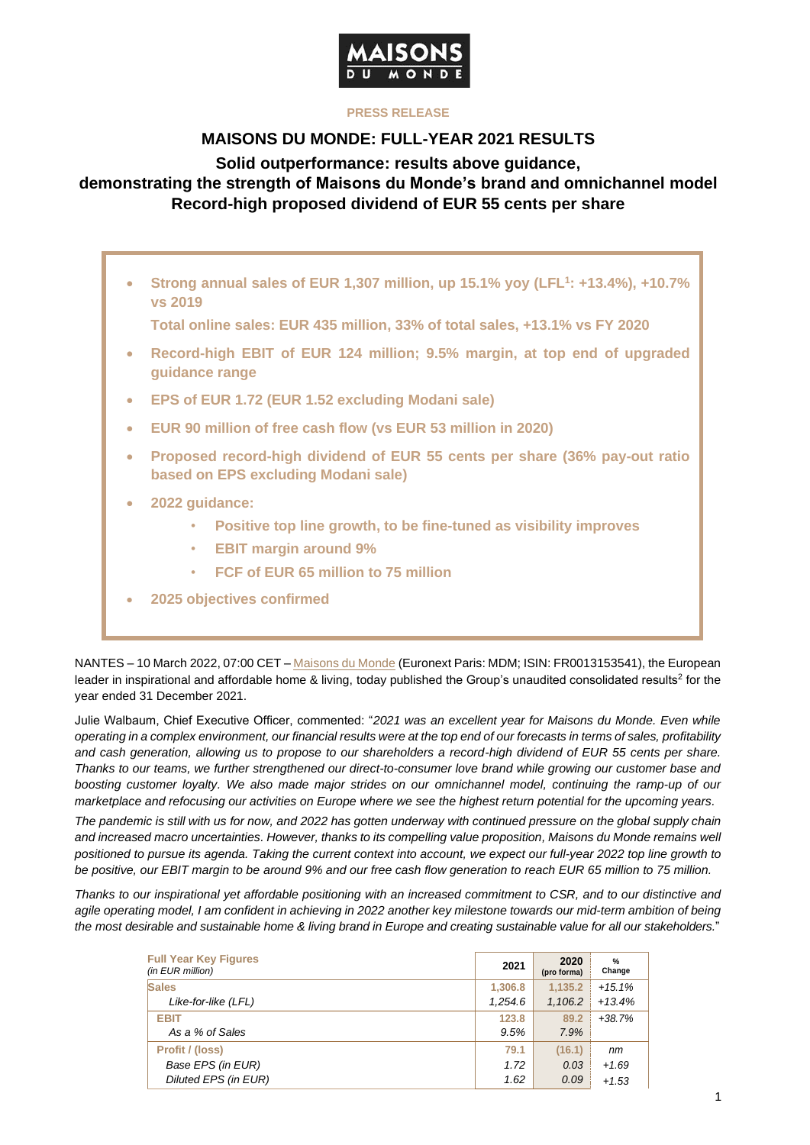

### **PRESS RELEASE**

## **MAISONS DU MONDE: FULL-YEAR 2021 RESULTS**

**Solid outperformance: results above guidance,** 

# **demonstrating the strength of Maisons du Monde's brand and omnichannel model Record-high proposed dividend of EUR 55 cents per share**

• **Strong annual sales of EUR 1,307 million, up 15.1% yoy (LFL<sup>1</sup> : +13.4%), +10.7% vs 2019**

**Total online sales: EUR 435 million, 33% of total sales, +13.1% vs FY 2020**

- **Record-high EBIT of EUR 124 million; 9.5% margin, at top end of upgraded guidance range**
- **EPS of EUR 1.72 (EUR 1.52 excluding Modani sale)**
- **EUR 90 million of free cash flow (vs EUR 53 million in 2020)**
- **Proposed record-high dividend of EUR 55 cents per share (36% pay-out ratio based on EPS excluding Modani sale)**
- **2022 guidance:**
	- **Positive top line growth, to be fine-tuned as visibility improves**
	- **EBIT margin around 9%**
	- **FCF of EUR 65 million to 75 million**
- **2025 objectives confirmed**

NANTES – 10 March 2022, 07:00 CET – [Maisons du Monde](https://corporate.maisonsdumonde.com/en) (Euronext Paris: MDM; ISIN: FR0013153541), the European leader in inspirational and affordable home & living, today published the Group's unaudited consolidated results<sup>2</sup> for the year ended 31 December 2021.

Julie Walbaum, Chief Executive Officer, commented: "*2021 was an excellent year for Maisons du Monde. Even while operating in a complex environment, our financial results were at the top end of our forecasts in terms of sales, profitability and cash generation, allowing us to propose to our shareholders a record-high dividend of EUR 55 cents per share. Thanks to our teams, we further strengthened our direct-to-consumer love brand while growing our customer base and boosting customer loyalty. We also made major strides on our omnichannel model, continuing the ramp-up of our marketplace and refocusing our activities on Europe where we see the highest return potential for the upcoming years.*

*The pandemic is still with us for now, and 2022 has gotten underway with continued pressure on the global supply chain and increased macro uncertainties. However, thanks to its compelling value proposition, Maisons du Monde remains well positioned to pursue its agenda. Taking the current context into account, we expect our full-year 2022 top line growth to be positive, our EBIT margin to be around 9% and our free cash flow generation to reach EUR 65 million to 75 million.*

*Thanks to our inspirational yet affordable positioning with an increased commitment to CSR, and to our distinctive and agile operating model, I am confident in achieving in 2022 another key milestone towards our mid-term ambition of being the most desirable and sustainable home & living brand in Europe and creating sustainable value for all our stakeholders.*"

| <b>Full Year Key Figures</b><br>(in EUR million) | 2021    | 2020<br>(pro forma) | $\frac{9}{6}$<br>Change |
|--------------------------------------------------|---------|---------------------|-------------------------|
| <b>Sales</b>                                     | 1,306.8 | 1.135.2             | $+15.1%$                |
| Like-for-like (LFL)                              | 1,254.6 | 1,106.2             | $+13.4%$                |
| <b>EBIT</b>                                      | 123.8   | 89.2                | $+38.7%$                |
| As a % of Sales                                  | 9.5%    | 7.9%                |                         |
| Profit / (loss)                                  | 79.1    | (16.1)              | nm                      |
| Base EPS (in EUR)                                | 1.72    | 0.03                | $+1.69$                 |
| Diluted EPS (in EUR)                             | 1.62    | 0.09                | $+1.53$                 |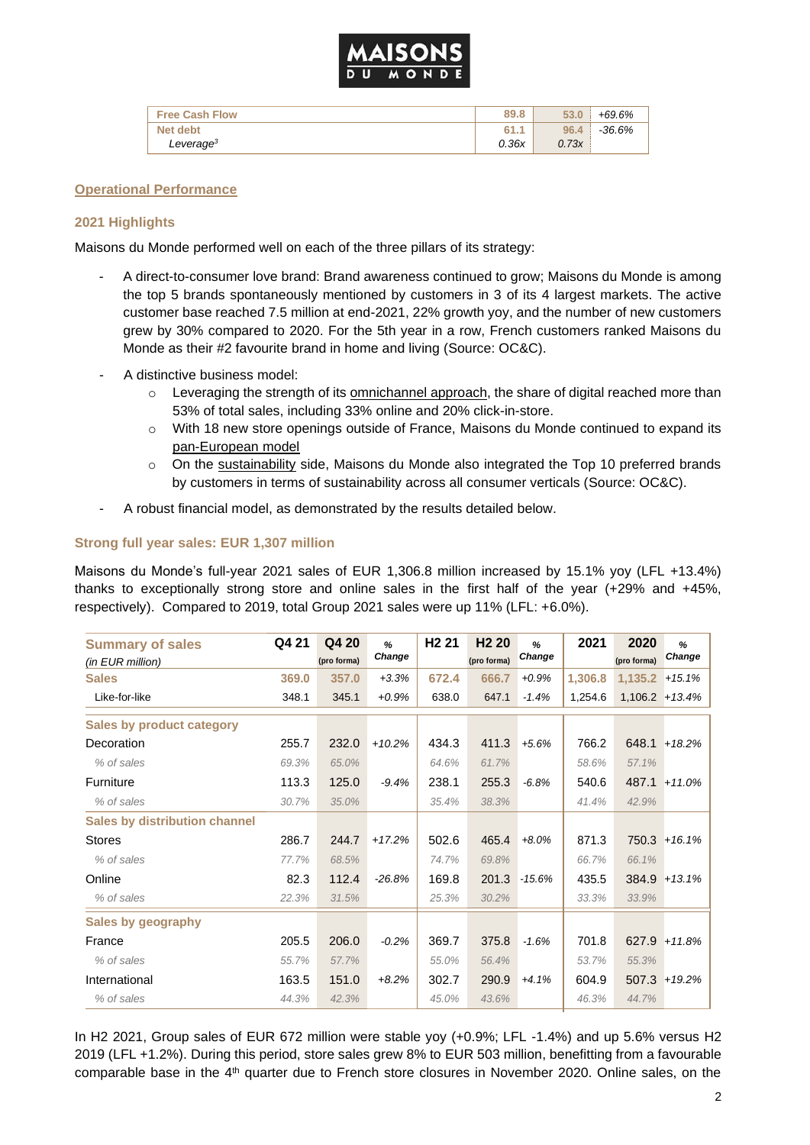

| <b>Free Cash Flow</b> | 89.8  | 53.0  | +69.6%   |
|-----------------------|-------|-------|----------|
| Net debt              | 61.1  | 96.4  | $-36.6%$ |
| Leverage <sup>3</sup> | 0.36x | 0.73x |          |

#### **Operational Performance**

#### **2021 Highlights**

Maisons du Monde performed well on each of the three pillars of its strategy:

- A direct-to-consumer love brand: Brand awareness continued to grow; Maisons du Monde is among the top 5 brands spontaneously mentioned by customers in 3 of its 4 largest markets. The active customer base reached 7.5 million at end-2021, 22% growth yoy, and the number of new customers grew by 30% compared to 2020. For the 5th year in a row, French customers ranked Maisons du Monde as their #2 favourite brand in home and living (Source: OC&C).
- A distinctive business model:
	- $\circ$  Leveraging the strength of its omnichannel approach, the share of digital reached more than 53% of total sales, including 33% online and 20% click-in-store.
	- o With 18 new store openings outside of France, Maisons du Monde continued to expand its pan-European model
	- $\circ$  On the sustainability side, Maisons du Monde also integrated the Top 10 preferred brands by customers in terms of sustainability across all consumer verticals (Source: OC&C).
- A robust financial model, as demonstrated by the results detailed below.

#### **Strong full year sales: EUR 1,307 million**

Maisons du Monde's full-year 2021 sales of EUR 1,306.8 million increased by 15.1% yoy (LFL +13.4%) thanks to exceptionally strong store and online sales in the first half of the year (+29% and +45%, respectively). Compared to 2019, total Group 2021 sales were up 11% (LFL: +6.0%).

| <b>Summary of sales</b><br>(in EUR million) | Q4 21 | Q4 20<br>(pro forma) | %<br>Change | H <sub>2</sub> 21 | H <sub>2</sub> 20<br>(pro forma) | %<br>Change | 2021    | 2020<br>(pro forma) | %<br>Change |
|---------------------------------------------|-------|----------------------|-------------|-------------------|----------------------------------|-------------|---------|---------------------|-------------|
| <b>Sales</b>                                | 369.0 | 357.0                | $+3.3%$     | 672.4             | 666.7                            | $+0.9%$     | 1,306.8 | 1,135.2             | $+15.1%$    |
| Like-for-like                               | 348.1 | 345.1                | $+0.9%$     | 638.0             | 647.1                            | $-1.4%$     | 1,254.6 | $1,106.2 + 13.4\%$  |             |
| <b>Sales by product category</b>            |       |                      |             |                   |                                  |             |         |                     |             |
| Decoration                                  | 255.7 | 232.0                | $+10.2%$    | 434.3             | 411.3                            | $+5.6%$     | 766.2   | 648.1               | $+18.2%$    |
| % of sales                                  | 69.3% | 65.0%                |             | 64.6%             | 61.7%                            |             | 58.6%   | 57.1%               |             |
| Furniture                                   | 113.3 | 125.0                | $-9.4%$     | 238.1             | 255.3                            | $-6.8%$     | 540.6   | 487.1               | $+11.0%$    |
| % of sales                                  | 30.7% | 35.0%                |             | 35.4%             | 38.3%                            |             | 41.4%   | 42.9%               |             |
| <b>Sales by distribution channel</b>        |       |                      |             |                   |                                  |             |         |                     |             |
| <b>Stores</b>                               | 286.7 | 244.7                | $+17.2%$    | 502.6             | 465.4                            | $+8.0%$     | 871.3   | 750.3               | $+16.1%$    |
| % of sales                                  | 77.7% | 68.5%                |             | 74.7%             | 69.8%                            |             | 66.7%   | 66.1%               |             |
| Online                                      | 82.3  | 112.4                | $-26.8%$    | 169.8             | 201.3                            | $-15.6%$    | 435.5   | 384.9               | $+13.1%$    |
| % of sales                                  | 22.3% | 31.5%                |             | 25.3%             | 30.2%                            |             | 33.3%   | 33.9%               |             |
| Sales by geography                          |       |                      |             |                   |                                  |             |         |                     |             |
| France                                      | 205.5 | 206.0                | $-0.2%$     | 369.7             | 375.8                            | $-1.6%$     | 701.8   | 627.9               | $+11.8%$    |
| % of sales                                  | 55.7% | 57.7%                |             | 55.0%             | 56.4%                            |             | 53.7%   | 55.3%               |             |
| International                               | 163.5 | 151.0                | $+8.2%$     | 302.7             | 290.9                            | $+4.1%$     | 604.9   | 507.3               | $+19.2%$    |
| % of sales                                  | 44.3% | 42.3%                |             | 45.0%             | 43.6%                            |             | 46.3%   | 44.7%               |             |

In H2 2021, Group sales of EUR 672 million were stable yoy (+0.9%; LFL -1.4%) and up 5.6% versus H2 2019 (LFL +1.2%). During this period, store sales grew 8% to EUR 503 million, benefitting from a favourable comparable base in the 4<sup>th</sup> quarter due to French store closures in November 2020. Online sales, on the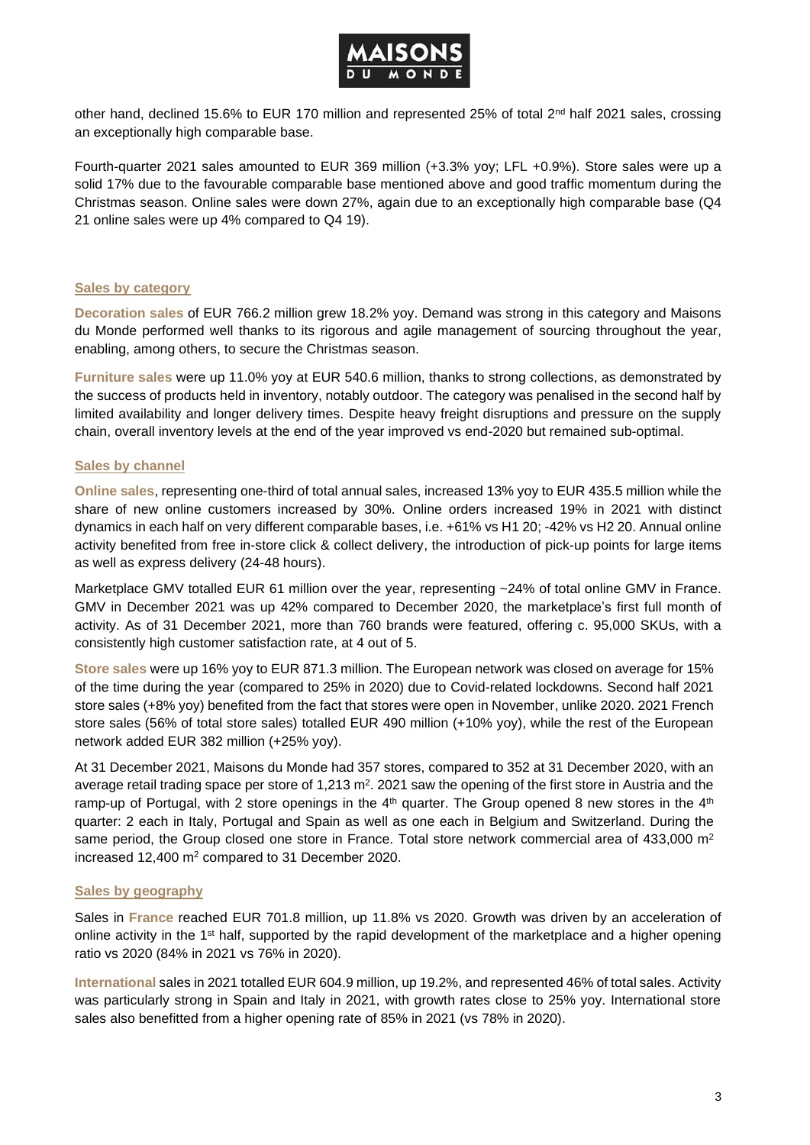

other hand, declined 15.6% to EUR 170 million and represented 25% of total 2<sup>nd</sup> half 2021 sales, crossing an exceptionally high comparable base.

Fourth-quarter 2021 sales amounted to EUR 369 million (+3.3% yoy; LFL +0.9%). Store sales were up a solid 17% due to the favourable comparable base mentioned above and good traffic momentum during the Christmas season. Online sales were down 27%, again due to an exceptionally high comparable base (Q4 21 online sales were up 4% compared to Q4 19).

#### **Sales by category**

**Decoration sales** of EUR 766.2 million grew 18.2% yoy. Demand was strong in this category and Maisons du Monde performed well thanks to its rigorous and agile management of sourcing throughout the year, enabling, among others, to secure the Christmas season.

**Furniture sales** were up 11.0% yoy at EUR 540.6 million, thanks to strong collections, as demonstrated by the success of products held in inventory, notably outdoor. The category was penalised in the second half by limited availability and longer delivery times. Despite heavy freight disruptions and pressure on the supply chain, overall inventory levels at the end of the year improved vs end-2020 but remained sub-optimal.

### **Sales by channel**

**Online sales**, representing one-third of total annual sales, increased 13% yoy to EUR 435.5 million while the share of new online customers increased by 30%. Online orders increased 19% in 2021 with distinct dynamics in each half on very different comparable bases, i.e. +61% vs H1 20; -42% vs H2 20. Annual online activity benefited from free in-store click & collect delivery, the introduction of pick-up points for large items as well as express delivery (24-48 hours).

Marketplace GMV totalled EUR 61 million over the year, representing ~24% of total online GMV in France. GMV in December 2021 was up 42% compared to December 2020, the marketplace's first full month of activity. As of 31 December 2021, more than 760 brands were featured, offering c. 95,000 SKUs, with a consistently high customer satisfaction rate, at 4 out of 5.

**Store sales** were up 16% yoy to EUR 871.3 million. The European network was closed on average for 15% of the time during the year (compared to 25% in 2020) due to Covid-related lockdowns. Second half 2021 store sales (+8% yoy) benefited from the fact that stores were open in November, unlike 2020. 2021 French store sales (56% of total store sales) totalled EUR 490 million (+10% yoy), while the rest of the European network added EUR 382 million (+25% yoy).

At 31 December 2021, Maisons du Monde had 357 stores, compared to 352 at 31 December 2020, with an average retail trading space per store of 1,213 m<sup>2</sup>. 2021 saw the opening of the first store in Austria and the ramp-up of Portugal, with 2 store openings in the  $4<sup>th</sup>$  quarter. The Group opened 8 new stores in the  $4<sup>th</sup>$ quarter: 2 each in Italy, Portugal and Spain as well as one each in Belgium and Switzerland. During the same period, the Group closed one store in France. Total store network commercial area of 433,000 m<sup>2</sup> increased 12,400 m<sup>2</sup> compared to 31 December 2020.

### **Sales by geography**

Sales in **France** reached EUR 701.8 million, up 11.8% vs 2020. Growth was driven by an acceleration of online activity in the  $1<sup>st</sup>$  half, supported by the rapid development of the marketplace and a higher opening ratio vs 2020 (84% in 2021 vs 76% in 2020).

**International** sales in 2021 totalled EUR 604.9 million, up 19.2%, and represented 46% of total sales. Activity was particularly strong in Spain and Italy in 2021, with growth rates close to 25% yoy. International store sales also benefitted from a higher opening rate of 85% in 2021 (vs 78% in 2020).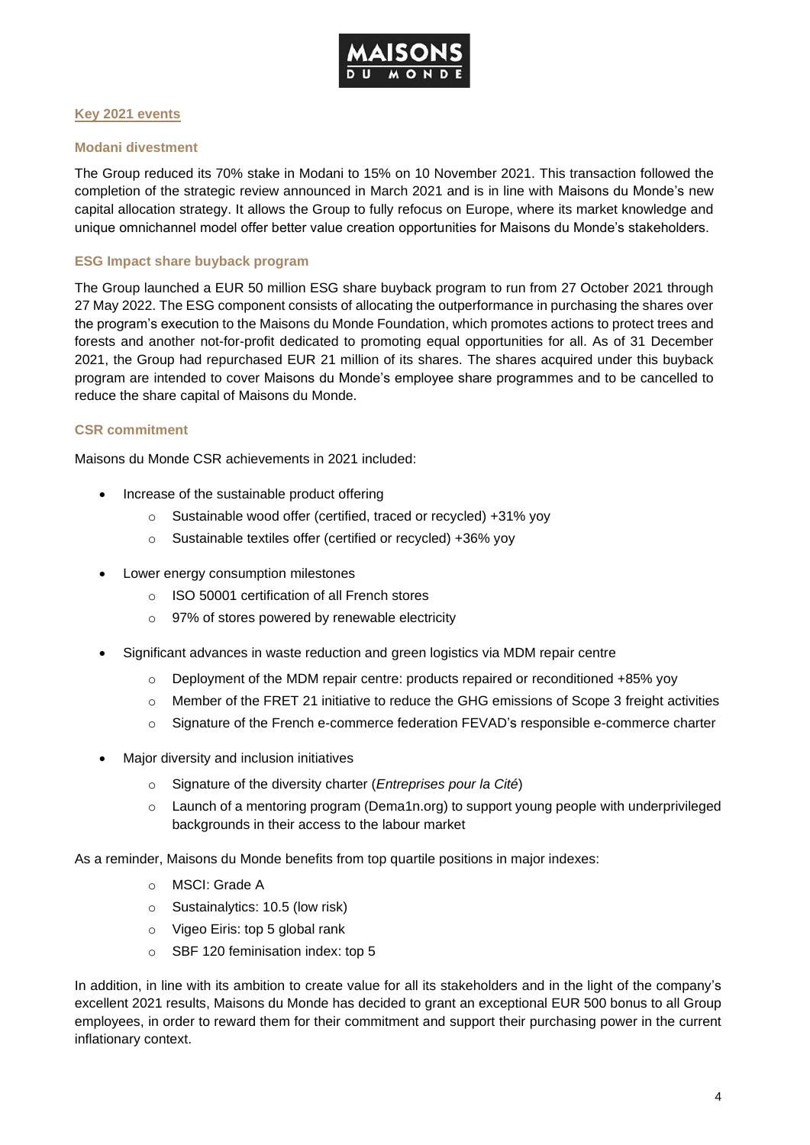

#### **Key 2021 events**

#### **Modani divestment**

The Group reduced its 70% stake in Modani to 15% on 10 November 2021. This transaction followed the completion of the strategic review announced in March 2021 and is in line with Maisons du Monde's new capital allocation strategy. It allows the Group to fully refocus on Europe, where its market knowledge and unique omnichannel model offer better value creation opportunities for Maisons du Monde's stakeholders.

#### **ESG Impact share buyback program**

The Group launched a EUR 50 million ESG share buyback program to run from 27 October 2021 through 27 May 2022. The ESG component consists of allocating the outperformance in purchasing the shares over the program's execution to the Maisons du Monde Foundation, which promotes actions to protect trees and forests and another not-for-profit dedicated to promoting equal opportunities for all. As of 31 December 2021, the Group had repurchased EUR 21 million of its shares. The shares acquired under this buyback program are intended to cover Maisons du Monde's employee share programmes and to be cancelled to reduce the share capital of Maisons du Monde.

#### **CSR commitment**

Maisons du Monde CSR achievements in 2021 included:

- Increase of the sustainable product offering
	- o Sustainable wood offer (certified, traced or recycled) +31% yoy
	- o Sustainable textiles offer (certified or recycled) +36% yoy
- Lower energy consumption milestones
	- o ISO 50001 certification of all French stores
	- o 97% of stores powered by renewable electricity
- Significant advances in waste reduction and green logistics via MDM repair centre
	- $\circ$  Deployment of the MDM repair centre: products repaired or reconditioned +85% yoy
	- o Member of the FRET 21 initiative to reduce the GHG emissions of Scope 3 freight activities
	- o Signature of the French e-commerce federation FEVAD's responsible e-commerce charter
- Major diversity and inclusion initiatives
	- o Signature of the diversity charter (*Entreprises pour la Cité*)
	- $\circ$  Launch of a mentoring program (Dema1n.org) to support young people with underprivileged backgrounds in their access to the labour market

As a reminder, Maisons du Monde benefits from top quartile positions in major indexes:

- o MSCI: Grade A
- o Sustainalytics: 10.5 (low risk)
- o Vigeo Eiris: top 5 global rank
- o SBF 120 [feminisation index:](https://www.egalite-femmes-hommes.gouv.fr/cp-resultats-de-la-8eme-edition-du-palmares-de-la-feminisation-des-instances-dirigeantes-des-entreprises-du-sbf120-25-10-2021/) top 5

In addition, in line with its ambition to create value for all its stakeholders and in the light of the company's excellent 2021 results, Maisons du Monde has decided to grant an exceptional EUR 500 bonus to all Group employees, in order to reward them for their commitment and support their purchasing power in the current inflationary context.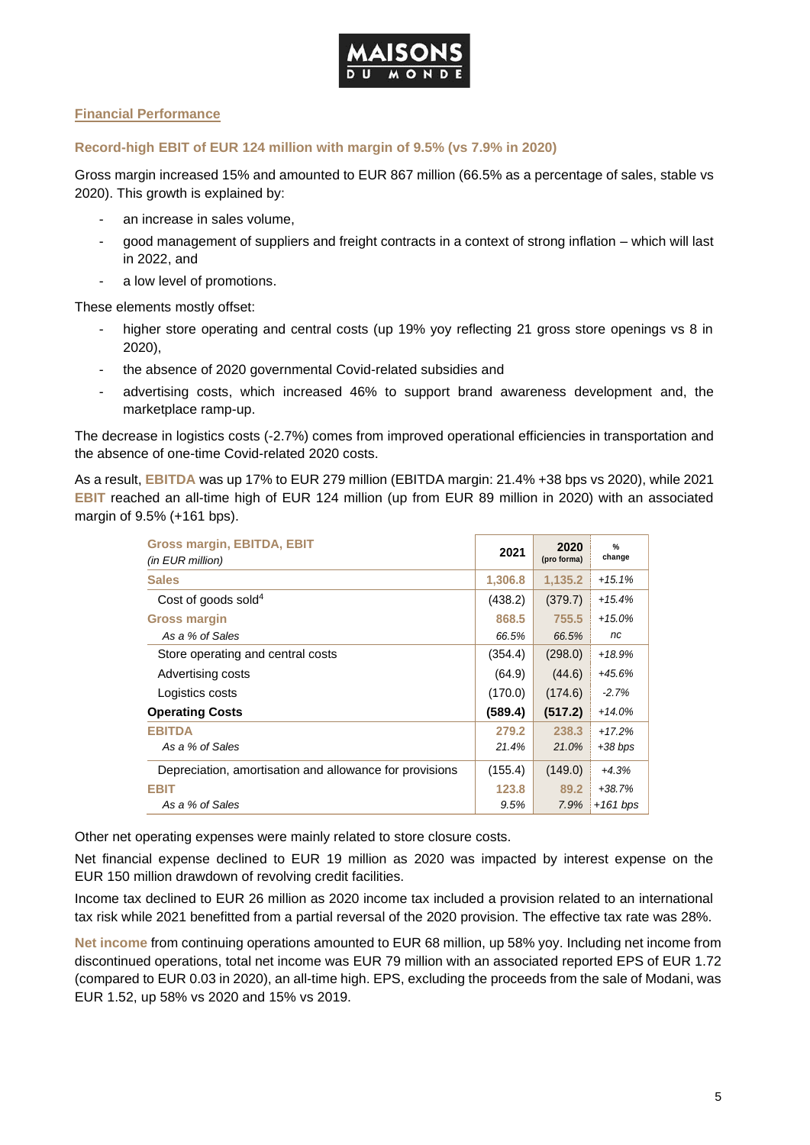

## **Financial Performance**

#### **Record-high EBIT of EUR 124 million with margin of 9.5% (vs 7.9% in 2020)**

Gross margin increased 15% and amounted to EUR 867 million (66.5% as a percentage of sales, stable vs 2020). This growth is explained by:

- an increase in sales volume,
- good management of suppliers and freight contracts in a context of strong inflation which will last in 2022, and
- a low level of promotions.

These elements mostly offset:

- higher store operating and central costs (up 19% yoy reflecting 21 gross store openings vs 8 in 2020),
- the absence of 2020 governmental Covid-related subsidies and
- advertising costs, which increased 46% to support brand awareness development and, the marketplace ramp-up.

The decrease in logistics costs (-2.7%) comes from improved operational efficiencies in transportation and the absence of one-time Covid-related 2020 costs.

As a result, **EBITDA** was up 17% to EUR 279 million (EBITDA margin: 21.4% +38 bps vs 2020), while 2021 **EBIT** reached an all-time high of EUR 124 million (up from EUR 89 million in 2020) with an associated margin of 9.5% (+161 bps).

| <b>Gross margin, EBITDA, EBIT</b><br>(in EUR million)   | 2021    | 2020<br>(pro forma) | $\frac{9}{6}$<br>change |
|---------------------------------------------------------|---------|---------------------|-------------------------|
| <b>Sales</b>                                            | 1,306.8 | 1,135.2             | $+15.1%$                |
| Cost of goods sold $4$                                  | (438.2) | (379.7)             | $+15.4%$                |
| <b>Gross margin</b>                                     | 868.5   | 755.5               | $+15.0%$                |
| As a % of Sales                                         | 66.5%   | 66.5%               | nc                      |
| Store operating and central costs                       | (354.4) | (298.0)             | $+18.9%$                |
| Advertising costs                                       | (64.9)  | (44.6)              | +45.6%                  |
| Logistics costs                                         | (170.0) | (174.6)             | $-2.7%$                 |
| <b>Operating Costs</b>                                  | (589.4) | (517.2)             | $+14.0%$                |
| <b>EBITDA</b>                                           | 279.2   | 238.3               | $+17.2%$                |
| As a % of Sales                                         | 21.4%   | 21.0%               | $+38$ bps               |
| Depreciation, amortisation and allowance for provisions | (155.4) | (149.0)             | $+4.3%$                 |
| <b>EBIT</b>                                             | 123.8   | 89.2                | $+38.7%$                |
| As a % of Sales                                         | 9.5%    | 7.9%                | $+161$ bps              |

Other net operating expenses were mainly related to store closure costs.

Net financial expense declined to EUR 19 million as 2020 was impacted by interest expense on the EUR 150 million drawdown of revolving credit facilities.

Income tax declined to EUR 26 million as 2020 income tax included a provision related to an international tax risk while 2021 benefitted from a partial reversal of the 2020 provision. The effective tax rate was 28%.

**Net income** from continuing operations amounted to EUR 68 million, up 58% yoy. Including net income from discontinued operations, total net income was EUR 79 million with an associated reported EPS of EUR 1.72 (compared to EUR 0.03 in 2020), an all-time high. EPS, excluding the proceeds from the sale of Modani, was EUR 1.52, up 58% vs 2020 and 15% vs 2019.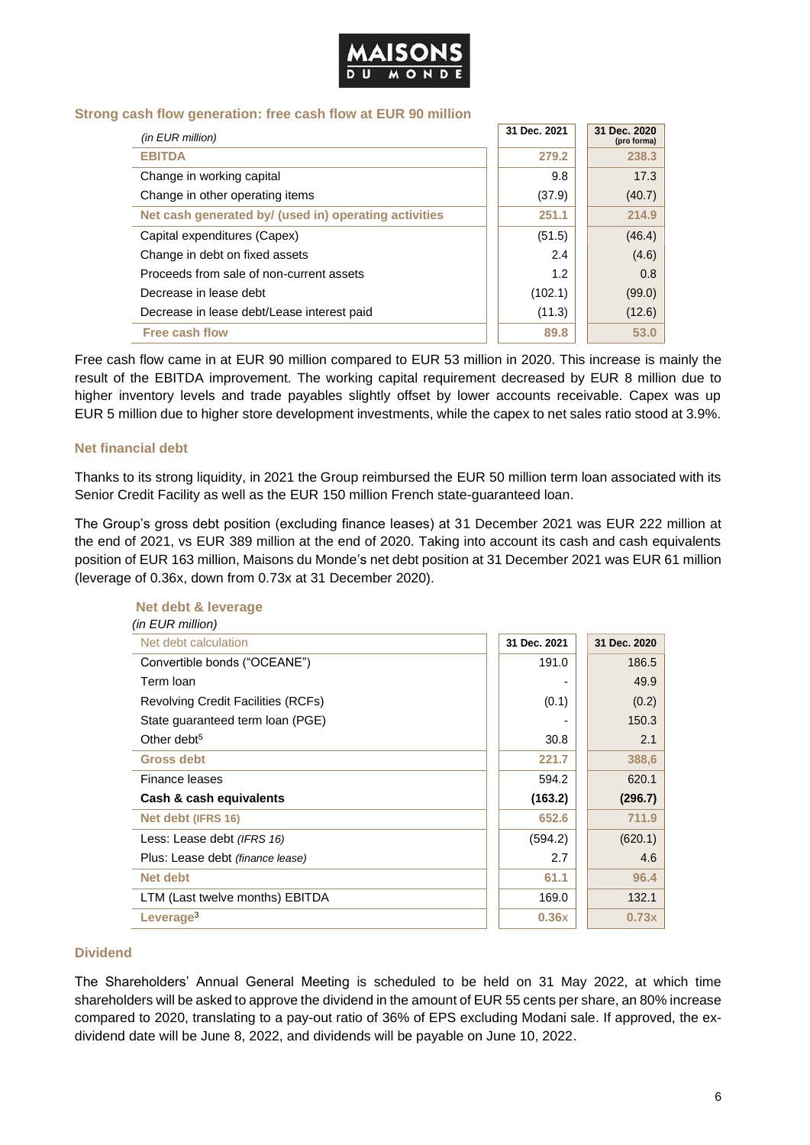

#### **Strong cash flow generation: free cash flow at EUR 90 million**

| (in EUR million)                                      | 31 Dec. 2021 | 31 Dec. 2020<br>(pro forma) |
|-------------------------------------------------------|--------------|-----------------------------|
| <b>EBITDA</b>                                         | 279.2        | 238.3                       |
| Change in working capital                             | 9.8          | 17.3                        |
| Change in other operating items                       | (37.9)       | (40.7)                      |
| Net cash generated by/ (used in) operating activities | 251.1        | 214.9                       |
| Capital expenditures (Capex)                          | (51.5)       | (46.4)                      |
| Change in debt on fixed assets                        | 2.4          | (4.6)                       |
| Proceeds from sale of non-current assets              | 1.2          | 0.8                         |
| Decrease in lease debt                                | (102.1)      | (99.0)                      |
| Decrease in lease debt/Lease interest paid            | (11.3)       | (12.6)                      |
| <b>Free cash flow</b>                                 | 89.8         | 53.0                        |

Free cash flow came in at EUR 90 million compared to EUR 53 million in 2020. This increase is mainly the result of the EBITDA improvement. The working capital requirement decreased by EUR 8 million due to higher inventory levels and trade payables slightly offset by lower accounts receivable. Capex was up EUR 5 million due to higher store development investments, while the capex to net sales ratio stood at 3.9%.

#### **Net financial debt**

Thanks to its strong liquidity, in 2021 the Group reimbursed the EUR 50 million term loan associated with its Senior Credit Facility as well as the EUR 150 million French state-guaranteed loan.

The Group's gross debt position (excluding finance leases) at 31 December 2021 was EUR 222 million at the end of 2021, vs EUR 389 million at the end of 2020. Taking into account its cash and cash equivalents position of EUR 163 million, Maisons du Monde's net debt position at 31 December 2021 was EUR 61 million (leverage of 0.36x, down from 0.73x at 31 December 2020).

| (in EUR million)                          |              |              |
|-------------------------------------------|--------------|--------------|
| Net debt calculation                      | 31 Dec. 2021 | 31 Dec. 2020 |
| Convertible bonds ("OCEANE")              | 191.0        | 186.5        |
| Term Ioan                                 |              | 49.9         |
| <b>Revolving Credit Facilities (RCFs)</b> | (0.1)        | (0.2)        |
| State guaranteed term loan (PGE)          |              | 150.3        |
| Other debt <sup>5</sup>                   | 30.8         | 2.1          |
| <b>Gross debt</b>                         | 221.7        | 388,6        |
| Finance leases                            | 594.2        | 620.1        |
| Cash & cash equivalents                   | (163.2)      | (296.7)      |
| Net debt (IFRS 16)                        | 652.6        | 711.9        |
| Less: Lease debt (IFRS 16)                | (594.2)      | (620.1)      |
| Plus: Lease debt (finance lease)          | 2.7          | 4.6          |
| <b>Net debt</b>                           | 61.1         | 96.4         |
| LTM (Last twelve months) EBITDA           | 169.0        | 132.1        |
| Leverage <sup>3</sup>                     | 0.36x        | 0.73x        |

# **Net debt & leverage**

#### **Dividend**

The Shareholders' Annual General Meeting is scheduled to be held on 31 May 2022, at which time shareholders will be asked to approve the dividend in the amount of EUR 55 cents per share, an 80% increase compared to 2020, translating to a pay-out ratio of 36% of EPS excluding Modani sale. If approved, the exdividend date will be June 8, 2022, and dividends will be payable on June 10, 2022.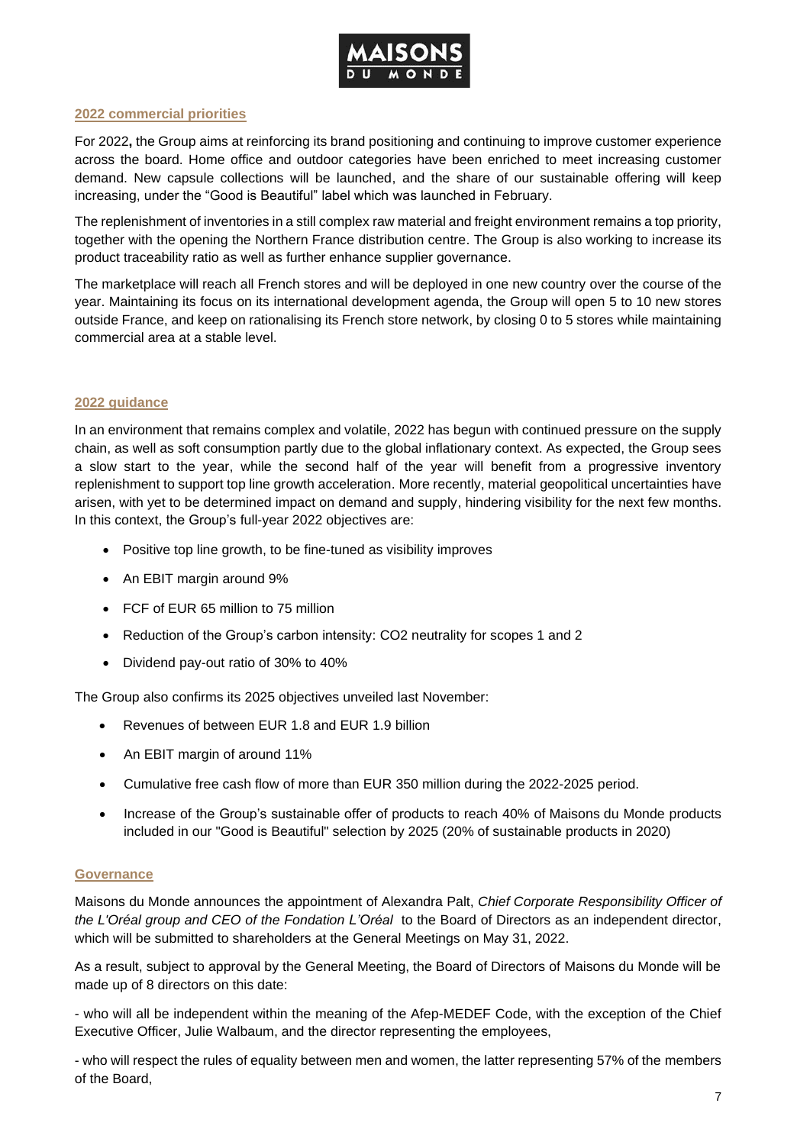

#### **2022 commercial priorities**

For 2022**,** the Group aims at reinforcing its brand positioning and continuing to improve customer experience across the board. Home office and outdoor categories have been enriched to meet increasing customer demand. New capsule collections will be launched, and the share of our sustainable offering will keep increasing, under the "Good is Beautiful" label which was launched in February.

The replenishment of inventories in a still complex raw material and freight environment remains a top priority, together with the opening the Northern France distribution centre. The Group is also working to increase its product traceability ratio as well as further enhance supplier governance.

The marketplace will reach all French stores and will be deployed in one new country over the course of the year. Maintaining its focus on its international development agenda, the Group will open 5 to 10 new stores outside France, and keep on rationalising its French store network, by closing 0 to 5 stores while maintaining commercial area at a stable level.

### **2022 guidance**

In an environment that remains complex and volatile, 2022 has begun with continued pressure on the supply chain, as well as soft consumption partly due to the global inflationary context. As expected, the Group sees a slow start to the year, while the second half of the year will benefit from a progressive inventory replenishment to support top line growth acceleration. More recently, material geopolitical uncertainties have arisen, with yet to be determined impact on demand and supply, hindering visibility for the next few months. In this context, the Group's full-year 2022 objectives are:

- Positive top line growth, to be fine-tuned as visibility improves
- An EBIT margin around 9%
- FCF of EUR 65 million to 75 million
- Reduction of the Group's carbon intensity: CO2 neutrality for scopes 1 and 2
- Dividend pay-out ratio of 30% to 40%

The Group also confirms its 2025 objectives unveiled last November:

- Revenues of between EUR 1.8 and EUR 1.9 billion
- An EBIT margin of around 11%
- Cumulative free cash flow of more than EUR 350 million during the 2022-2025 period.
- Increase of the Group's sustainable offer of products to reach 40% of Maisons du Monde products included in our "Good is Beautiful" selection by 2025 (20% of sustainable products in 2020)

### **Governance**

Maisons du Monde announces the appointment of Alexandra Palt, *Chief Corporate Responsibility Officer of the L'Oréal group and CEO of the Fondation L'Oréal* to the Board of Directors as an independent director, which will be submitted to shareholders at the General Meetings on May 31, 2022.

As a result, subject to approval by the General Meeting, the Board of Directors of Maisons du Monde will be made up of 8 directors on this date:

- who will all be independent within the meaning of the Afep-MEDEF Code, with the exception of the Chief Executive Officer, Julie Walbaum, and the director representing the employees,

- who will respect the rules of equality between men and women, the latter representing 57% of the members of the Board,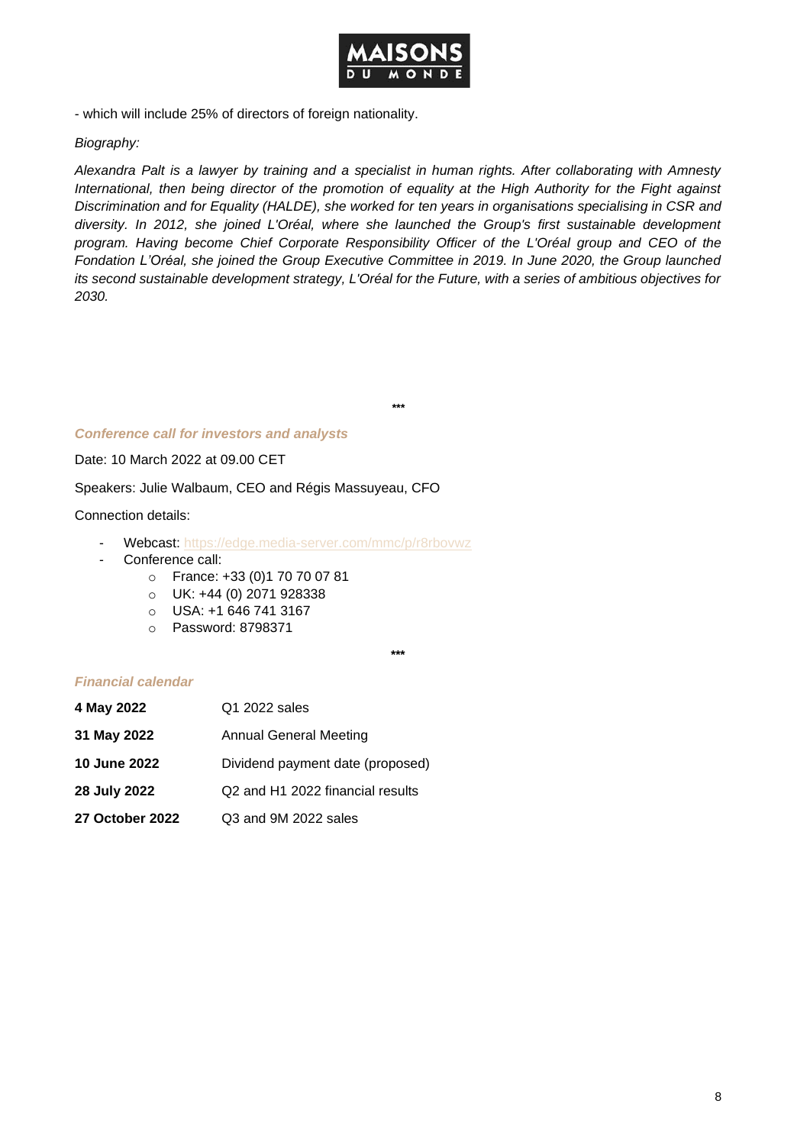

- which will include 25% of directors of foreign nationality.

#### *Biography:*

*Alexandra Palt is a lawyer by training and a specialist in human rights. After collaborating with Amnesty International, then being director of the promotion of equality at the High Authority for the Fight against Discrimination and for Equality (HALDE), she worked for ten years in organisations specialising in CSR and diversity. In 2012, she joined L'Oréal, where she launched the Group's first sustainable development program. Having become Chief Corporate Responsibility Officer of the L'Oréal group and CEO of the Fondation L'Oréal, she joined the Group Executive Committee in 2019. In June 2020, the Group launched its second sustainable development strategy, L'Oréal for the Future, with a series of ambitious objectives for 2030.*

*\*\*\**

#### *Conference call for investors and analysts*

Date: 10 March 2022 at 09.00 CET

Speakers: Julie Walbaum, CEO and Régis Massuyeau, CFO

#### Connection details:

- Webcast:<https://edge.media-server.com/mmc/p/r8rbovwz>
- Conference call:
	- o France: +33 (0)1 70 70 07 81
	- o UK: +44 (0) 2071 928338
	- $O$  USA: +1 646 741 3167
	- o Password: 8798371

**\*\*\***

#### *Financial calendar*

| 4 May 2022             | Q1 2022 sales                    |
|------------------------|----------------------------------|
| 31 May 2022            | <b>Annual General Meeting</b>    |
| <b>10 June 2022</b>    | Dividend payment date (proposed) |
| 28 July 2022           | Q2 and H1 2022 financial results |
| <b>27 October 2022</b> | Q3 and 9M 2022 sales             |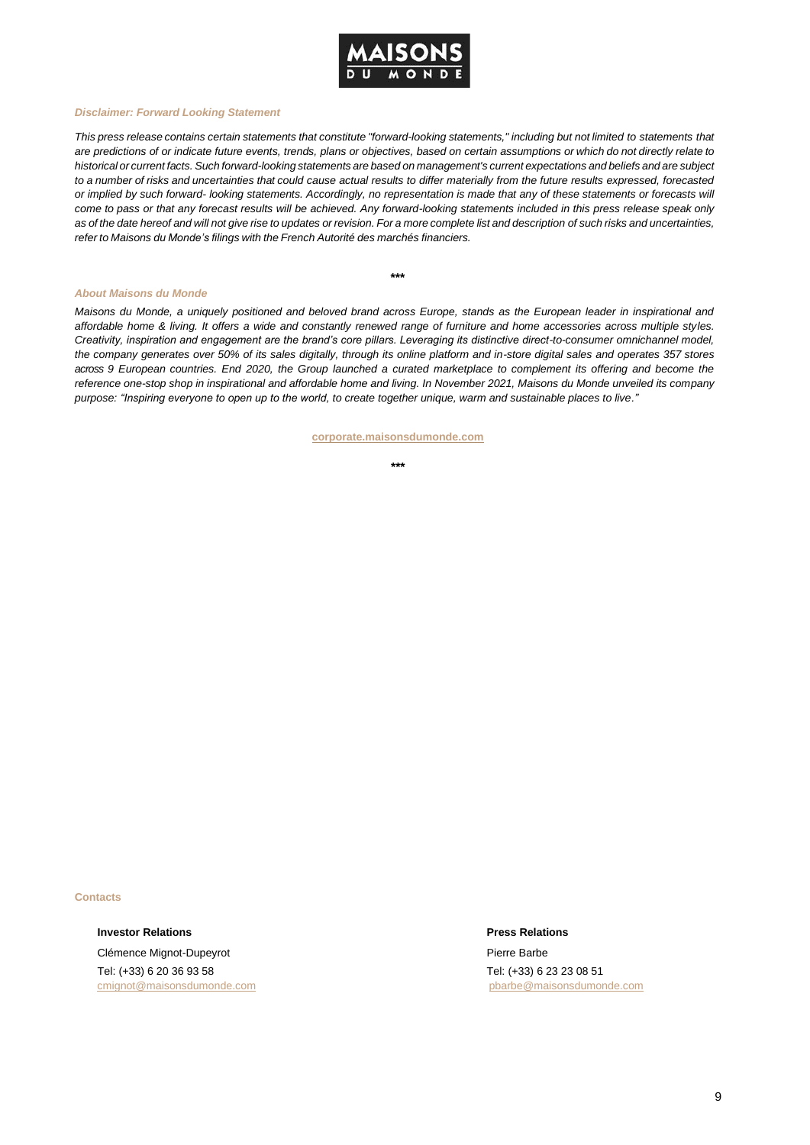

#### *Disclaimer: Forward Looking Statement*

This press release contains certain statements that constitute "forward-looking statements," including but not limited to statements that *are predictions of or indicate future events, trends, plans or objectives, based on certain assumptions or which do not directly relate to* historical or current facts. Such forward-looking statements are based on management's current expectations and beliefs and are subject *to a number of risks and uncertainties that could cause actual results to differ materially from the future results expressed, forecasted or implied by such forward- looking statements. Accordingly, no representation is made that any of these statements or forecasts will come to pass or that any forecast results will be achieved. Any forward-looking statements included in this press release speak only* as of the date hereof and will not give rise to updates or revision. For a more complete list and description of such risks and uncertainties, *refer to Maisons du Monde's filings with the French Autorité des marchés financiers.*

**\*\*\***

#### *About Maisons du Monde*

*Maisons du Monde, a uniquely positioned and beloved brand across Europe, stands as the European leader in inspirational and affordable home & living. It offers a wide and constantly renewed range of furniture and home accessories across multiple styles. Creativity, inspiration and engagement are the brand's core pillars. Leveraging its distinctive direct-to-consumer omnichannel model, the company generates over 50% of its sales digitally, through its online platform and in-store digital sales and operates 357 stores across 9 European countries. End 2020, the Group launched a curated marketplace to complement its offering and become the reference one-stop shop in inspirational and affordable home and living. In November 2021, Maisons du Monde unveiled its company purpose: "Inspiring everyone to open up to the world, to create together unique, warm and sustainable places to live."*

**[corporate.maisonsdumonde.com](https://corporate.maisonsdumonde.com/en)**

**\*\*\***

**Contacts**

**Investor Relations Press Relations** Clémence Mignot-Dupeyrot Tel: (+33) 6 20 36 93 58

[cmignot@maisonsdumonde.com](mailto:cmignot@maisonsdumonde.com) pbarbe@maisonsdumonde.com

Pierre Barbe Tel: (+33) 6 23 23 08 51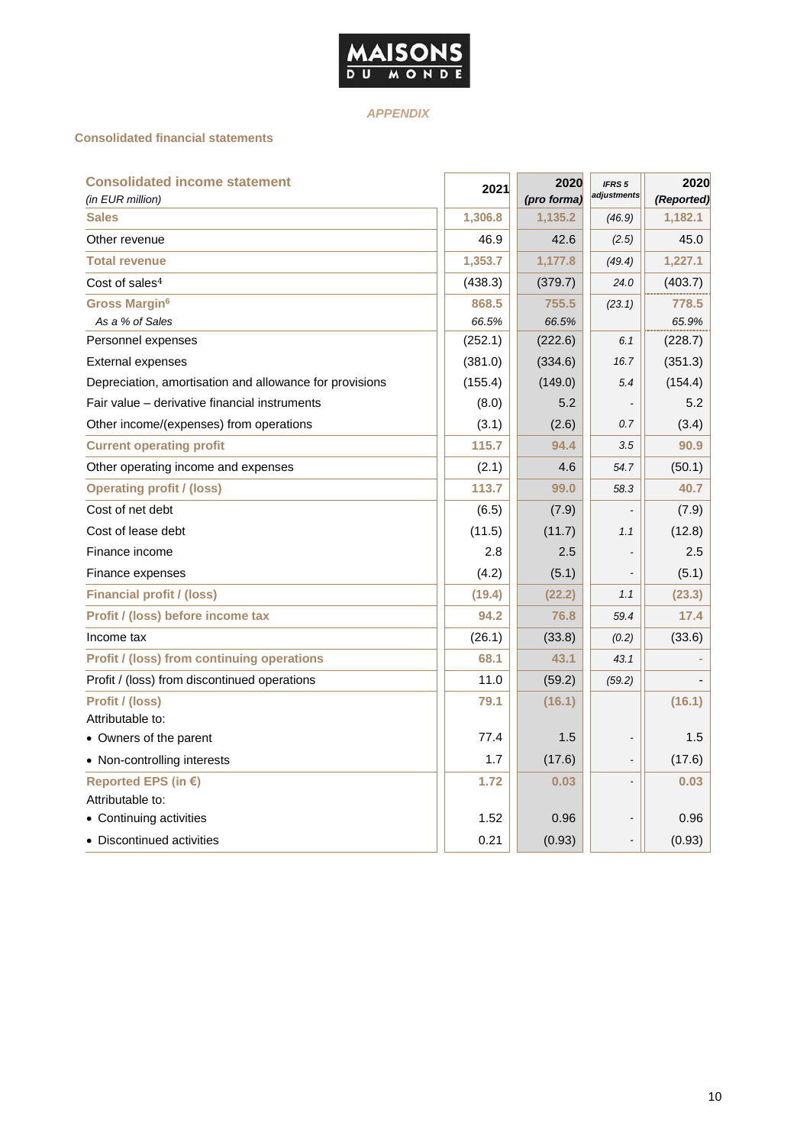

## *APPENDIX*

#### **Consolidated financial statements**

| <b>Consolidated income statement</b><br>(in EUR million) | 2021    | 2020<br>(pro forma) | IFRS <sub>5</sub><br>adjustments | 2020<br>(Reported) |
|----------------------------------------------------------|---------|---------------------|----------------------------------|--------------------|
| <b>Sales</b>                                             | 1,306.8 | 1,135.2             | (46.9)                           | 1,182.1            |
| Other revenue                                            | 46.9    | 42.6                | (2.5)                            | 45.0               |
| <b>Total revenue</b>                                     | 1,353.7 | 1,177.8             | (49.4)                           | 1,227.1            |
| Cost of sales <sup>4</sup>                               | (438.3) | (379.7)             | 24.0                             | (403.7)            |
| <b>Gross Margin<sup>6</sup></b>                          | 868.5   | 755.5               | (23.1)                           | 778.5              |
| As a % of Sales                                          | 66.5%   | 66.5%               |                                  | 65.9%              |
| Personnel expenses                                       | (252.1) | (222.6)             | 6.1                              | (228.7)            |
| <b>External expenses</b>                                 | (381.0) | (334.6)             | 16.7                             | (351.3)            |
| Depreciation, amortisation and allowance for provisions  | (155.4) | (149.0)             | 5.4                              | (154.4)            |
| Fair value – derivative financial instruments            | (8.0)   | 5.2                 |                                  | 5.2                |
| Other income/(expenses) from operations                  | (3.1)   | (2.6)               | 0.7                              | (3.4)              |
| <b>Current operating profit</b>                          | 115.7   | 94.4                | 3.5                              | 90.9               |
| Other operating income and expenses                      | (2.1)   | 4.6                 | 54.7                             | (50.1)             |
| <b>Operating profit / (loss)</b>                         | 113.7   | 99.0                | 58.3                             | 40.7               |
| Cost of net debt                                         | (6.5)   | (7.9)               |                                  | (7.9)              |
| Cost of lease debt                                       | (11.5)  | (11.7)              | 1.1                              | (12.8)             |
| Finance income                                           | 2.8     | 2.5                 |                                  | 2.5                |
| Finance expenses                                         | (4.2)   | (5.1)               |                                  | (5.1)              |
| <b>Financial profit / (loss)</b>                         | (19.4)  | (22.2)              | 1.1                              | (23.3)             |
| Profit / (loss) before income tax                        | 94.2    | 76.8                | 59.4                             | 17.4               |
| Income tax                                               | (26.1)  | (33.8)              | (0.2)                            | (33.6)             |
| <b>Profit / (loss) from continuing operations</b>        | 68.1    | 43.1                | 43.1                             |                    |
| Profit / (loss) from discontinued operations             | 11.0    | (59.2)              | (59.2)                           |                    |
| Profit / (loss)                                          | 79.1    | (16.1)              |                                  | (16.1)             |
| Attributable to:                                         |         |                     |                                  |                    |
| • Owners of the parent                                   | 77.4    | 1.5                 |                                  | 1.5                |
| • Non-controlling interests                              | 1.7     | (17.6)              |                                  | (17.6)             |
| Reported EPS (in €)                                      | 1.72    | 0.03                |                                  | 0.03               |
| Attributable to:                                         |         |                     |                                  |                    |
| • Continuing activities                                  | 1.52    | 0.96                |                                  | 0.96               |
| • Discontinued activities                                | 0.21    | (0.93)              |                                  | (0.93)             |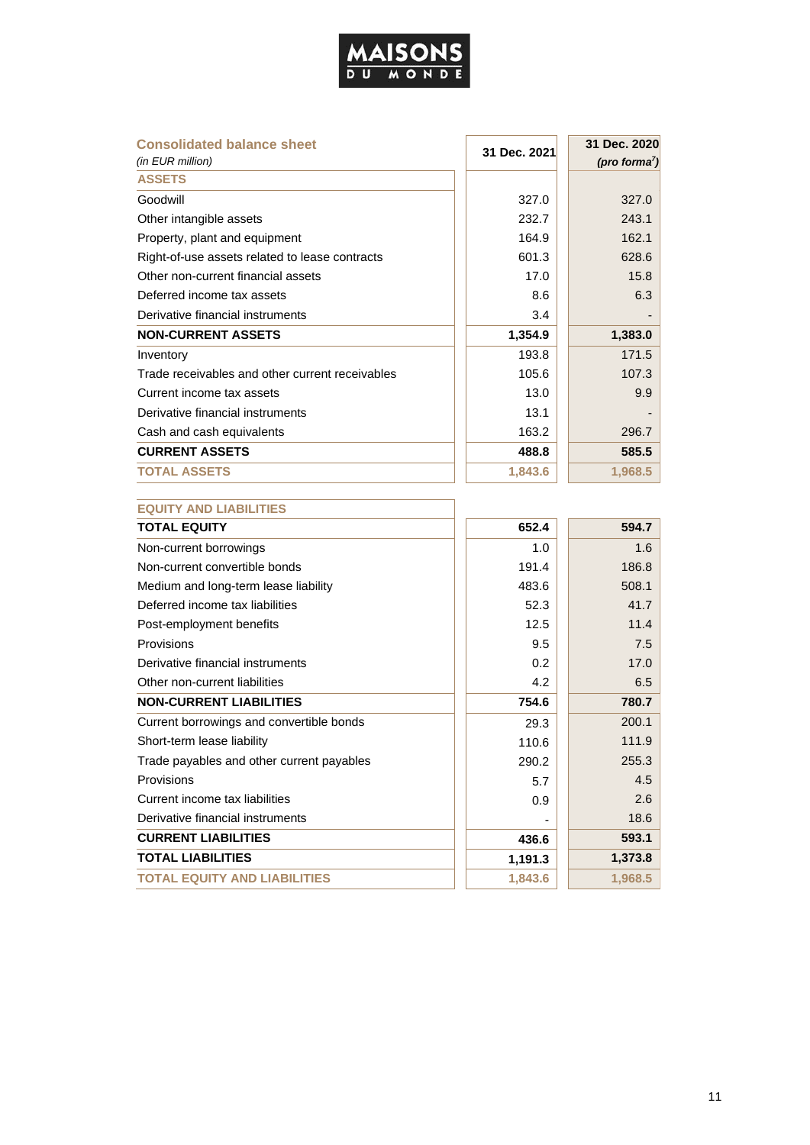

| <b>Consolidated balance sheet</b>               | 31 Dec. 2021 | 31 Dec. 2020     |  |  |
|-------------------------------------------------|--------------|------------------|--|--|
| (in EUR million)<br><b>ASSETS</b>               |              | (pro forma $7$ ) |  |  |
| Goodwill                                        | 327.0        | 327.0            |  |  |
| Other intangible assets                         | 232.7        | 243.1            |  |  |
| Property, plant and equipment                   | 164.9        | 162.1            |  |  |
| Right-of-use assets related to lease contracts  | 601.3        | 628.6            |  |  |
| Other non-current financial assets              | 17.0         | 15.8             |  |  |
| Deferred income tax assets                      | 8.6          | 6.3              |  |  |
| Derivative financial instruments                | 3.4          |                  |  |  |
| <b>NON-CURRENT ASSETS</b>                       | 1,354.9      | 1,383.0          |  |  |
| Inventory                                       | 193.8        | 171.5            |  |  |
| Trade receivables and other current receivables | 105.6        | 107.3            |  |  |
| Current income tax assets                       | 13.0         | 9.9              |  |  |
| Derivative financial instruments                | 13.1         |                  |  |  |
| Cash and cash equivalents                       | 163.2        | 296.7            |  |  |
| <b>CURRENT ASSETS</b>                           | 488.8        | 585.5            |  |  |
| <b>TOTAL ASSETS</b>                             | 1,843.6      | 1,968.5          |  |  |
|                                                 |              |                  |  |  |
| <b>EQUITY AND LIABILITIES</b>                   |              |                  |  |  |
| <b>TOTAL EQUITY</b>                             | 652.4        | 594.7            |  |  |
| Non-current borrowings                          | 1.0          | 1.6              |  |  |
| Non-current convertible bonds                   | 191.4        | 186.8            |  |  |
| Medium and long-term lease liability            | 483.6        | 508.1            |  |  |
| Deferred income tax liabilities                 | 52.3         | 41.7             |  |  |
| Post-employment benefits                        | 12.5         | 11.4             |  |  |
| Provisions                                      | 9.5          | 7.5              |  |  |
| Derivative financial instruments                | 0.2          | 17.0             |  |  |
| Other non-current liabilities                   | 4.2          | 6.5              |  |  |
| <b>NON-CURRENT LIABILITIES</b>                  | 754.6        | 780.7            |  |  |
| Current borrowings and convertible bonds        | 29.3         | 200.1            |  |  |
| Short-term lease liability                      | 110.6        | 111.9            |  |  |
| Trade payables and other current payables       | 290.2        | 255.3            |  |  |
| Provisions                                      | 5.7          | 4.5              |  |  |
| Current income tax liabilities                  | 0.9          | 2.6              |  |  |
| Derivative financial instruments                |              | 18.6             |  |  |
| <b>CURRENT LIABILITIES</b>                      | 436.6        | 593.1            |  |  |
| <b>TOTAL LIABILITIES</b>                        | 1,191.3      | 1,373.8          |  |  |
| <b>TOTAL EQUITY AND LIABILITIES</b>             | 1,843.6      | 1,968.5          |  |  |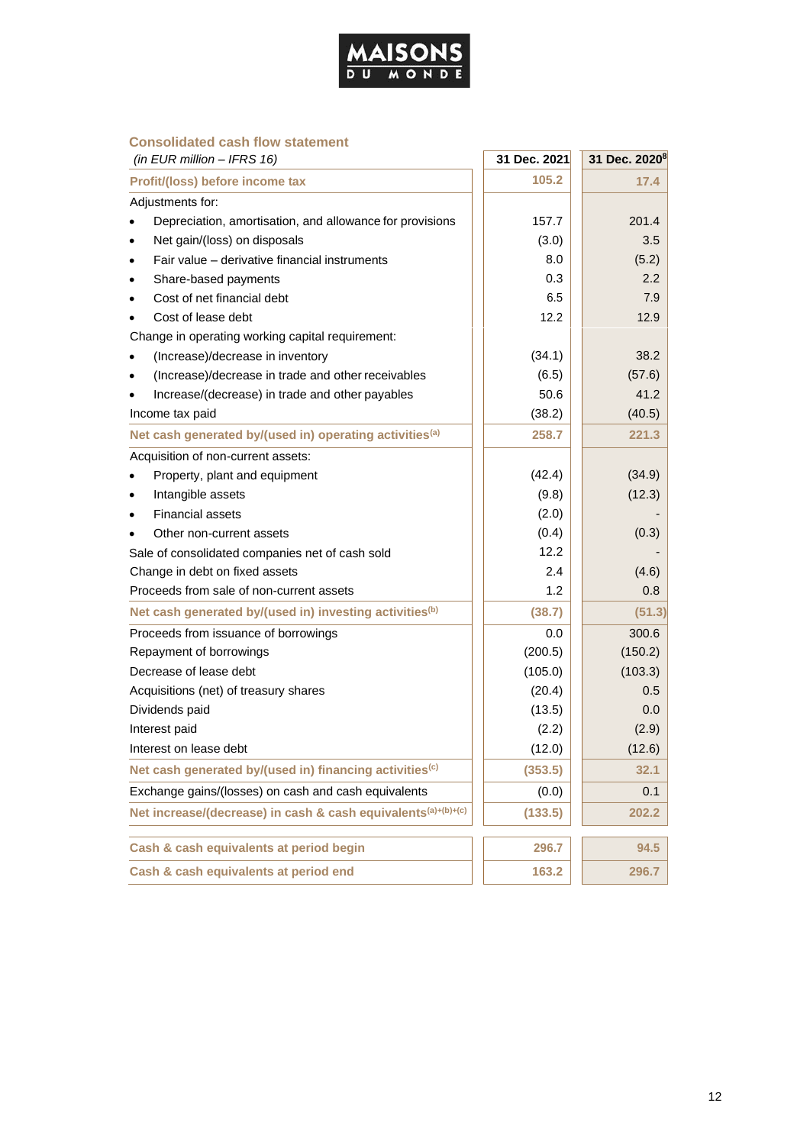

#### **Consolidated cash flow statement**

| (in EUR million $-$ IFRS 16)                                        | 31 Dec. 2021 | 31 Dec. 2020 <sup>8</sup> |
|---------------------------------------------------------------------|--------------|---------------------------|
| Profit/(loss) before income tax                                     | 105.2        | 17.4                      |
| Adjustments for:                                                    |              |                           |
| Depreciation, amortisation, and allowance for provisions            | 157.7        | 201.4                     |
| Net gain/(loss) on disposals                                        | (3.0)        | 3.5                       |
| Fair value – derivative financial instruments                       | 8.0          | (5.2)                     |
| Share-based payments<br>٠                                           | 0.3          | $2.2\phantom{0}$          |
| Cost of net financial debt                                          | 6.5          | 7.9                       |
| Cost of lease debt                                                  | 12.2         | 12.9                      |
| Change in operating working capital requirement:                    |              |                           |
| (Increase)/decrease in inventory                                    | (34.1)       | 38.2                      |
| (Increase)/decrease in trade and other receivables                  | (6.5)        | (57.6)                    |
| Increase/(decrease) in trade and other payables                     | 50.6         | 41.2                      |
| Income tax paid                                                     | (38.2)       | (40.5)                    |
| Net cash generated by/(used in) operating activities <sup>(a)</sup> | 258.7        | 221.3                     |
| Acquisition of non-current assets:                                  |              |                           |
| Property, plant and equipment                                       | (42.4)       | (34.9)                    |
| Intangible assets                                                   | (9.8)        | (12.3)                    |
| <b>Financial assets</b>                                             | (2.0)        |                           |
| Other non-current assets                                            | (0.4)        | (0.3)                     |
| Sale of consolidated companies net of cash sold                     | 12.2         |                           |
| Change in debt on fixed assets                                      | 2.4          | (4.6)                     |
| Proceeds from sale of non-current assets                            | 1.2          | 0.8                       |
| Net cash generated by/(used in) investing activities <sup>(b)</sup> | (38.7)       | (51.3)                    |
| Proceeds from issuance of borrowings                                | 0.0          | 300.6                     |
| Repayment of borrowings                                             | (200.5)      | (150.2)                   |
| Decrease of lease debt                                              | (105.0)      | (103.3)                   |
| Acquisitions (net) of treasury shares                               | (20.4)       | 0.5                       |
| Dividends paid                                                      | (13.5)       | 0.0                       |
| Interest paid                                                       | (2.2)        | (2.9)                     |
| Interest on lease debt                                              | (12.0)       | (12.6)                    |
| Net cash generated by/(used in) financing activities <sup>(c)</sup> | (353.5)      | 32.1                      |
| Exchange gains/(losses) on cash and cash equivalents                | (0.0)        | 0.1                       |
| Net increase/(decrease) in cash & cash equivalents(a)+(b)+(c)       | (133.5)      | 202.2                     |
| Cash & cash equivalents at period begin                             | 296.7        | 94.5                      |
| Cash & cash equivalents at period end                               | 163.2        | 296.7                     |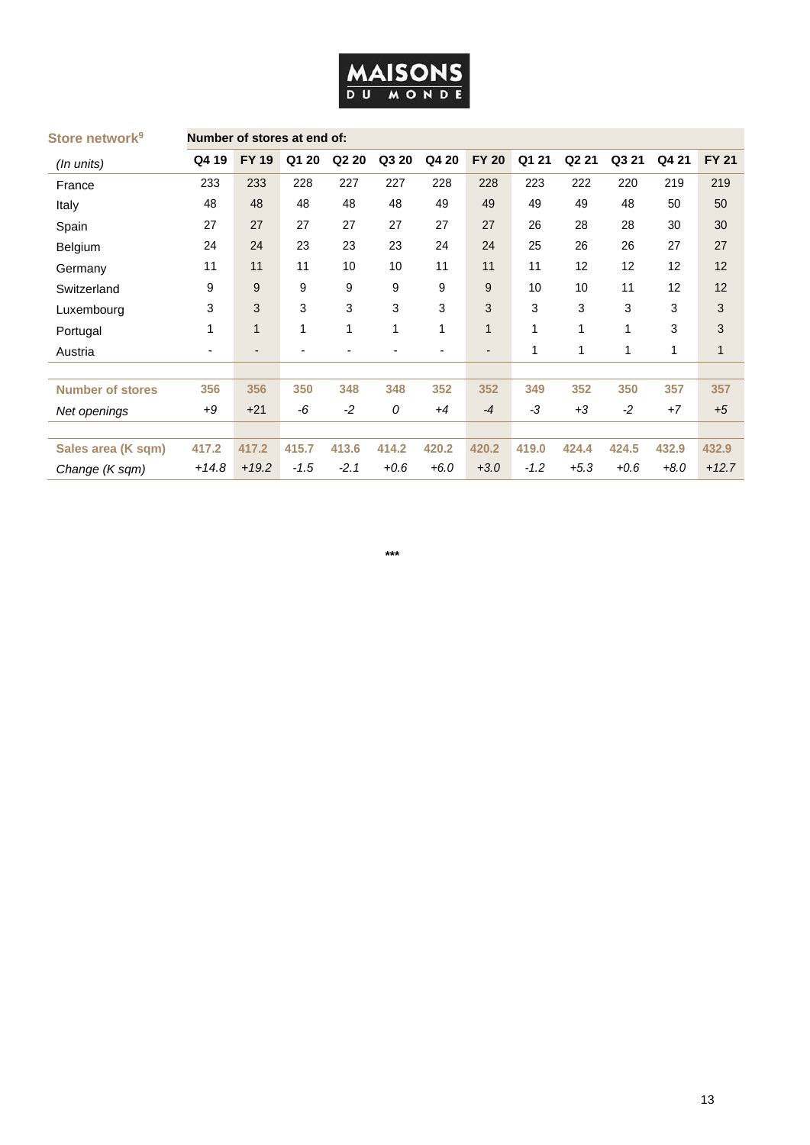| <b>MAISONS</b> |  |  |  |
|----------------|--|--|--|
| DU MONDE       |  |  |  |

| Store network <sup>9</sup> |         |              | Number of stores at end of: |                   |        |                          |              |          |                   |        |        |              |
|----------------------------|---------|--------------|-----------------------------|-------------------|--------|--------------------------|--------------|----------|-------------------|--------|--------|--------------|
| (In units)                 | Q4 19   | <b>FY 19</b> | Q1 20                       | Q <sub>2</sub> 20 | Q3 20  | Q4 20                    | <b>FY 20</b> | Q1<br>21 | Q <sub>2</sub> 21 | Q3 21  | Q4 21  | <b>FY 21</b> |
| France                     | 233     | 233          | 228                         | 227               | 227    | 228                      | 228          | 223      | 222               | 220    | 219    | 219          |
| Italy                      | 48      | 48           | 48                          | 48                | 48     | 49                       | 49           | 49       | 49                | 48     | 50     | 50           |
| Spain                      | 27      | 27           | 27                          | 27                | 27     | 27                       | 27           | 26       | 28                | 28     | 30     | 30           |
| Belgium                    | 24      | 24           | 23                          | 23                | 23     | 24                       | 24           | 25       | 26                | 26     | 27     | 27           |
| Germany                    | 11      | 11           | 11                          | 10                | 10     | 11                       | 11           | 11       | 12                | 12     | 12     | 12           |
| Switzerland                | 9       | 9            | 9                           | 9                 | 9      | 9                        | 9            | 10       | 10                | 11     | 12     | 12           |
| Luxembourg                 | 3       | 3            | 3                           | 3                 | 3      | 3                        | 3            | 3        | 3                 | 3      | 3      | 3            |
| Portugal                   | 1       | $\mathbf{1}$ | $\mathbf 1$                 | 1                 | 1      | 1                        | 1            | 1        | 1                 | 1      | 3      | 3            |
| Austria                    | ٠       | ٠            | ٠                           | -                 | -      | $\overline{\phantom{a}}$ | ٠            | 1        | 1                 | 1      | 1      | 1            |
|                            |         |              |                             |                   |        |                          |              |          |                   |        |        |              |
| <b>Number of stores</b>    | 356     | 356          | 350                         | 348               | 348    | 352                      | 352          | 349      | 352               | 350    | 357    | 357          |
| Net openings               | $+9$    | $+21$        | -6                          | $-2$              | 0      | $+4$                     | $-4$         | -3       | $+3$              | $-2$   | $+7$   | $+5$         |
|                            |         |              |                             |                   |        |                          |              |          |                   |        |        |              |
| Sales area (K sqm)         | 417.2   | 417.2        | 415.7                       | 413.6             | 414.2  | 420.2                    | 420.2        | 419.0    | 424.4             | 424.5  | 432.9  | 432.9        |
| Change (K sqm)             | $+14.8$ | $+19.2$      | $-1.5$                      | $-2.1$            | $+0.6$ | $+6.0$                   | $+3.0$       | $-1.2$   | $+5.3$            | $+0.6$ | $+8.0$ | $+12.7$      |

#### **\*\*\***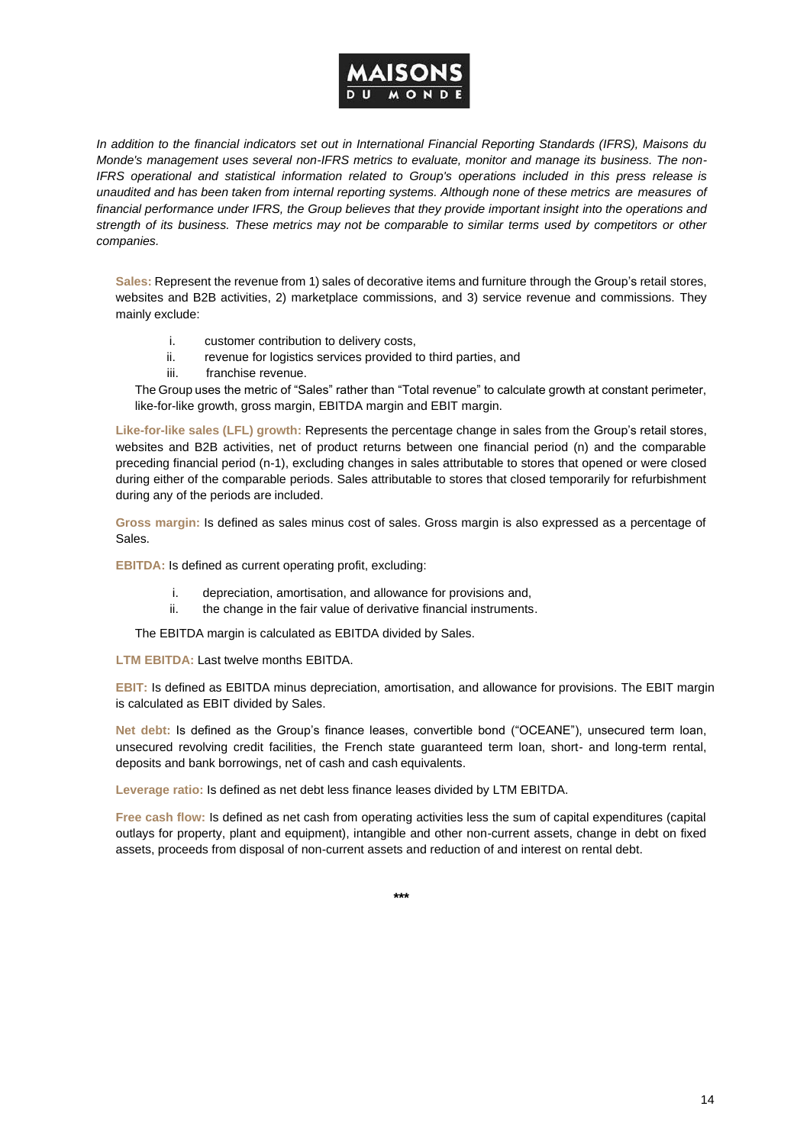

*In addition to the financial indicators set out in International Financial Reporting Standards (IFRS), Maisons du Monde's management uses several non-IFRS metrics to evaluate, monitor and manage its business. The non-IFRS operational and statistical information related to Group's operations included in this press release is unaudited and has been taken from internal reporting systems. Although none of these metrics are measures of financial performance under IFRS, the Group believes that they provide important insight into the operations and strength of its business. These metrics may not be comparable to similar terms used by competitors or other companies.*

**Sales:** Represent the revenue from 1) sales of decorative items and furniture through the Group's retail stores, websites and B2B activities, 2) marketplace commissions, and 3) service revenue and commissions. They mainly exclude:

- i. customer contribution to delivery costs,
- ii. revenue for logistics services provided to third parties, and
- iii. franchise revenue.

The Group uses the metric of "Sales" rather than "Total revenue" to calculate growth at constant perimeter, like-for-like growth, gross margin, EBITDA margin and EBIT margin.

**Like-for-like sales (LFL) growth:** Represents the percentage change in sales from the Group's retail stores, websites and B2B activities, net of product returns between one financial period (n) and the comparable preceding financial period (n-1), excluding changes in sales attributable to stores that opened or were closed during either of the comparable periods. Sales attributable to stores that closed temporarily for refurbishment during any of the periods are included.

**Gross margin:** Is defined as sales minus cost of sales. Gross margin is also expressed as a percentage of Sales.

**EBITDA:** Is defined as current operating profit, excluding:

- i. depreciation, amortisation, and allowance for provisions and,
- ii. the change in the fair value of derivative financial instruments.

The EBITDA margin is calculated as EBITDA divided by Sales.

**LTM EBITDA:** Last twelve months EBITDA.

**EBIT:** Is defined as EBITDA minus depreciation, amortisation, and allowance for provisions. The EBIT margin is calculated as EBIT divided by Sales.

**Net debt:** Is defined as the Group's finance leases, convertible bond ("OCEANE"), unsecured term loan, unsecured revolving credit facilities, the French state guaranteed term loan, short- and long-term rental, deposits and bank borrowings, net of cash and cash equivalents.

**Leverage ratio:** Is defined as net debt less finance leases divided by LTM EBITDA.

**Free cash flow:** Is defined as net cash from operating activities less the sum of capital expenditures (capital outlays for property, plant and equipment), intangible and other non-current assets, change in debt on fixed assets, proceeds from disposal of non-current assets and reduction of and interest on rental debt.

**\*\*\***